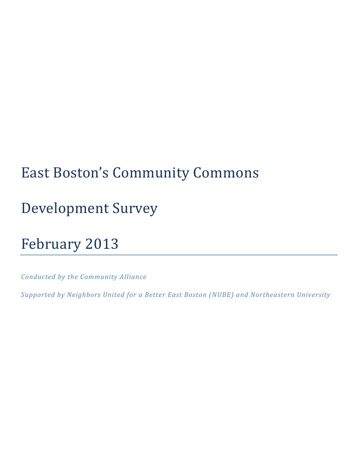# East Boston's Community Commons

# Development Survey

# February 2013

*Conducted by the Community Alliance*

*Supported by Neighbors United for a Better East Boston (NUBE) and Northeastern University*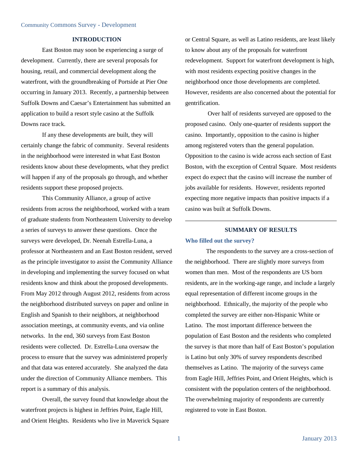#### **INTRODUCTION**

East Boston may soon be experiencing a surge of development. Currently, there are several proposals for housing, retail, and commercial development along the waterfront, with the groundbreaking of Portside at Pier One occurring in January 2013. Recently, a partnership between Suffolk Downs and Caesar's Entertainment has submitted an application to build a resort style casino at the Suffolk Downs race track.

If any these developments are built, they will certainly change the fabric of community. Several residents in the neighborhood were interested in what East Boston residents know about these developments, what they predict will happen if any of the proposals go through, and whether residents support these proposed projects.

This Community Alliance, a group of active residents from across the neighborhood, worked with a team of graduate students from Northeastern University to develop a series of surveys to answer these questions. Once the surveys were developed, Dr. Neenah Estrella-Luna, a professor at Northeastern and an East Boston resident, served as the principle investigator to assist the Community Alliance in developing and implementing the survey focused on what residents know and think about the proposed developments. From May 2012 through August 2012, residents from across the neighborhood distributed surveys on paper and online in English and Spanish to their neighbors, at neighborhood association meetings, at community events, and via online networks. In the end, 360 surveys from East Boston residents were collected. Dr. Estrella-Luna oversaw the process to ensure that the survey was administered properly and that data was entered accurately. She analyzed the data under the direction of Community Alliance members. This report is a summary of this analysis.

Overall, the survey found that knowledge about the waterfront projects is highest in Jeffries Point, Eagle Hill, and Orient Heights. Residents who live in Maverick Square or Central Square, as well as Latino residents, are least likely to know about any of the proposals for waterfront redevelopment. Support for waterfront development is high, with most residents expecting positive changes in the neighborhood once those developments are completed. However, residents are also concerned about the potential for gentrification.

 Over half of residents surveyed are opposed to the proposed casino. Only one-quarter of residents support the casino. Importantly, opposition to the casino is higher among registered voters than the general population. Opposition to the casino is wide across each section of East Boston, with the exception of Central Square. Most residents expect do expect that the casino will increase the number of jobs available for residents. However, residents reported expecting more negative impacts than positive impacts if a casino was built at Suffolk Downs.

#### **SUMMARY OF RESULTS**

#### **Who filled out the survey?**

The respondents to the survey are a cross-section of the neighborhood. There are slightly more surveys from women than men. Most of the respondents are US born residents, are in the working-age range, and include a largely equal representation of different income groups in the neighborhood. Ethnically, the majority of the people who completed the survey are either non-Hispanic White or Latino. The most important difference between the population of East Boston and the residents who completed the survey is that more than half of East Boston's population is Latino but only 30% of survey respondents described themselves as Latino. The majority of the surveys came from Eagle Hill, Jeffries Point, and Orient Heights, which is consistent with the population centers of the neighborhood. The overwhelming majority of respondents are currently registered to vote in East Boston.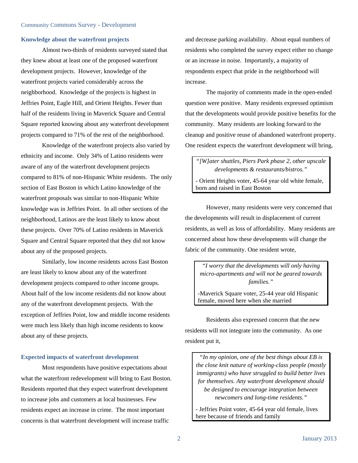#### **Knowledge about the waterfront projects**

Almost two-thirds of residents surveyed stated that they knew about at least one of the proposed waterfront development projects. However, knowledge of the waterfront projects varied considerably across the neighborhood. Knowledge of the projects is highest in Jeffries Point, Eagle Hill, and Orient Heights. Fewer than half of the residents living in Maverick Square and Central Square reported knowing about any waterfront development projects compared to 71% of the rest of the neighborhood.

Knowledge of the waterfront projects also varied by ethnicity and income. Only 34% of Latino residents were aware of any of the waterfront development projects compared to 81% of non-Hispanic White residents. The only section of East Boston in which Latino knowledge of the waterfront proposals was similar to non-Hispanic White knowledge was in Jeffries Point. In all other sections of the neighborhood, Latinos are the least likely to know about these projects. Over 70% of Latino residents in Maverick Square and Central Square reported that they did not know about any of the proposed projects.

Similarly, low income residents across East Boston are least likely to know about any of the waterfront development projects compared to other income groups. About half of the low income residents did not know about any of the waterfront development projects. With the exception of Jeffries Point, low and middle income residents were much less likely than high income residents to know about any of these projects.

### **Expected impacts of waterfront development**

Most respondents have positive expectations about what the waterfront redevelopment will bring to East Boston. Residents reported that they expect waterfront development to increase jobs and customers at local businesses. Few residents expect an increase in crime. The most important concerns is that waterfront development will increase traffic

and decrease parking availability. About equal numbers of residents who completed the survey expect either no change or an increase in noise. Importantly, a majority of respondents expect that pride in the neighborhood will increase.

The majority of comments made in the open-ended question were positive. Many residents expressed optimism that the developments would provide positive benefits for the community. Many residents are looking forward to the cleanup and positive reuse of abandoned waterfront property. One resident expects the waterfront development will bring,

*"[W]ater shuttles, Piers Park phase 2, other upscale developments & restaurants/bistros."*  - Orient Heights voter, 45-64 year old white female, born and raised in East Boston

However, many residents were very concerned that the developments will result in displacement of current residents, as well as loss of affordability. Many residents are concerned about how these developments will change the fabric of the community. One resident wrote,

*"I worry that the developments will only having micro-apartments and will not be geared towards families."* 

-Maverick Square voter, 25-44 year old Hispanic female, moved here when she married

Residents also expressed concern that the new residents will not integrate into the community. As one resident put it,

*"In my opinion, one of the best things about EB is the close knit nature of working-class people (mostly immigrants) who have struggled to build better lives for themselves. Any waterfront development should be designed to encourage integration between newcomers and long-time residents."* 

- Jeffries Point voter, 45-64 year old female, lives here because of friends and family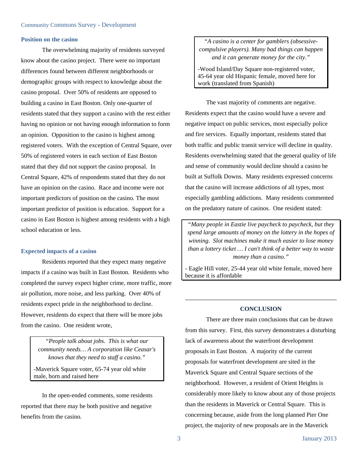#### **Position on the casino**

The overwhelming majority of residents surveyed know about the casino project. There were no important differences found between different neighborhoods or demographic groups with respect to knowledge about the casino proposal. Over 50% of residents are opposed to building a casino in East Boston. Only one-quarter of residents stated that they support a casino with the rest either having no opinion or not having enough information to form an opinion. Opposition to the casino is highest among registered voters. With the exception of Central Square, over 50% of registered voters in each section of East Boston stated that they did not support the casino proposal. In Central Square, 42% of respondents stated that they do not have an opinion on the casino. Race and income were not important predictors of position on the casino. The most important predictor of position is education. Support for a casino in East Boston is highest among residents with a high school education or less.

#### **Expected impacts of a casino**

Residents reported that they expect many negative impacts if a casino was built in East Boston. Residents who completed the survey expect higher crime, more traffic, more air pollution, more noise, and less parking. Over 40% of residents expect pride in the neighborhood to decline. However, residents do expect that there will be more jobs from the casino. One resident wrote,

*"People talk about jobs. This is what our community needs… A corporation like Ceasar's knows that they need to staff a casino."*  -Maverick Square voter, 65-74 year old white

male, born and raised here

In the open-ended comments, some residents reported that there may be both positive and negative benefits from the casino.

*"A casino is a center for gamblers (obsessivecompulsive players). Many bad things can happen and it can generate money for the city."* 

-Wood Island/Day Square non-registered voter, 45-64 year old Hispanic female, moved here for work (translated from Spanish)

The vast majority of comments are negative. Residents expect that the casino would have a severe and negative impact on public services, most especially police and fire services. Equally important, residents stated that both traffic and public transit service will decline in quality. Residents overwhelming stated that the general quality of life and sense of community would decline should a casino be built at Suffolk Downs. Many residents expressed concerns that the casino will increase addictions of all types, most especially gambling addictions. Many residents commented on the predatory nature of casinos. One resident stated:

*"Many people in Eastie live paycheck to paycheck, but they spend large amounts of money on the lottery in the hopes of winning. Slot machines make it much easier to lose money than a lottery ticket … I can't think of a better way to waste money than a casino."* 

- Eagle Hill voter, 25-44 year old white female, moved here because it is affordable

#### **CONCLUSION**

There are three main conclusions that can be drawn from this survey. First, this survey demonstrates a disturbing lack of awareness about the waterfront development proposals in East Boston. A majority of the current proposals for waterfront development are sited in the Maverick Square and Central Square sections of the neighborhood. However, a resident of Orient Heights is considerably more likely to know about any of those projects than the residents in Maverick or Central Square. This is concerning because, aside from the long planned Pier One project, the majority of new proposals are in the Maverick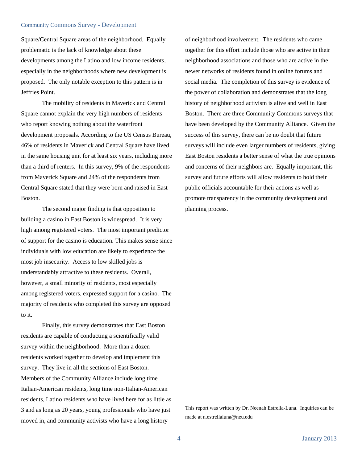#### Community Commons Survey - Development

Square/Central Square areas of the neighborhood. Equally problematic is the lack of knowledge about these developments among the Latino and low income residents, especially in the neighborhoods where new development is proposed. The only notable exception to this pattern is in Jeffries Point.

The mobility of residents in Maverick and Central Square cannot explain the very high numbers of residents who report knowing nothing about the waterfront development proposals. According to the US Census Bureau, 46% of residents in Maverick and Central Square have lived in the same housing unit for at least six years, including more than a third of renters. In this survey, 9% of the respondents from Maverick Square and 24% of the respondents from Central Square stated that they were born and raised in East Boston.

The second major finding is that opposition to building a casino in East Boston is widespread. It is very high among registered voters. The most important predictor of support for the casino is education. This makes sense since individuals with low education are likely to experience the most job insecurity. Access to low skilled jobs is understandably attractive to these residents. Overall, however, a small minority of residents, most especially among registered voters, expressed support for a casino. The majority of residents who completed this survey are opposed to it.

Finally, this survey demonstrates that East Boston residents are capable of conducting a scientifically valid survey within the neighborhood. More than a dozen residents worked together to develop and implement this survey. They live in all the sections of East Boston. Members of the Community Alliance include long time Italian-American residents, long time non-Italian-American residents, Latino residents who have lived here for as little as 3 and as long as 20 years, young professionals who have just moved in, and community activists who have a long history

of neighborhood involvement. The residents who came together for this effort include those who are active in their neighborhood associations and those who are active in the newer networks of residents found in online forums and social media. The completion of this survey is evidence of the power of collaboration and demonstrates that the long history of neighborhood activism is alive and well in East Boston. There are three Community Commons surveys that have been developed by the Community Alliance. Given the success of this survey, there can be no doubt that future surveys will include even larger numbers of residents, giving East Boston residents a better sense of what the true opinions and concerns of their neighbors are. Equally important, this survey and future efforts will allow residents to hold their public officials accountable for their actions as well as promote transparency in the community development and planning process.

This report was written by Dr. Neenah Estrella-Luna. Inquiries can be made at n.estrellaluna@neu.edu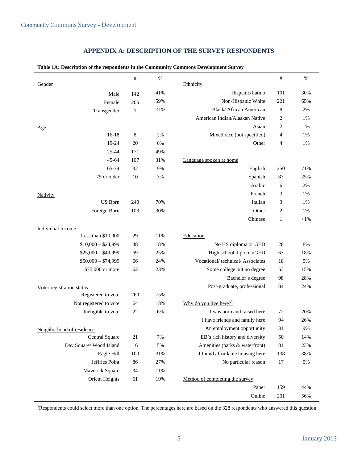| Table 1A: Description of the respondents in the Community Commons Development Survey |              |        |                                    |              |        |  |
|--------------------------------------------------------------------------------------|--------------|--------|------------------------------------|--------------|--------|--|
|                                                                                      | $\#$         | $\%$   |                                    | $\#$         | $\%$   |  |
| Gender                                                                               |              |        | Ethnicity                          |              |        |  |
| Male                                                                                 | 142          | 41%    | Hispanic/Latino                    | 101          | 30%    |  |
| Female                                                                               | 205          | 59%    | Non-Hispanic White                 | 221          | 65%    |  |
| Transgender                                                                          | $\mathbf{1}$ | $<$ 1% | Black/ African American            | 8            | 2%     |  |
|                                                                                      |              |        | American Indian/Alaskan Native     | 2            | 1%     |  |
| Age                                                                                  |              |        | Asian                              | 2            | 1%     |  |
| $16-18$                                                                              | 8            | 2%     | Mixed race (not specified)         | 4            | 1%     |  |
| 19-24                                                                                | 20           | 6%     | Other                              | 4            | 1%     |  |
| $25 - 44$                                                                            | 171          | 49%    |                                    |              |        |  |
| 45-64                                                                                | 107          | 31%    | Language spoken at home            |              |        |  |
| 65-74                                                                                | 32           | 9%     | English                            | 250          | 71%    |  |
| 75 or older                                                                          | 10           | 3%     | Spanish                            | 87           | 25%    |  |
|                                                                                      |              |        | Arabic                             | 6            | 2%     |  |
| <b>Nativity</b>                                                                      |              |        | French                             | 3            | 1%     |  |
| <b>US</b> Born                                                                       | 240          | 70%    | Italian                            | 3            | 1%     |  |
| Foreign Born                                                                         | 103          | 30%    | Other                              | 2            | 1%     |  |
|                                                                                      |              |        | Chinese                            | $\mathbf{1}$ | $<$ 1% |  |
| <b>Individual Income</b>                                                             |              |        |                                    |              |        |  |
| Less than $$10,000$                                                                  | 29           | 11%    | Education                          |              |        |  |
| $$10,000 - $24,999$                                                                  | 48           | 18%    | No HS diploma or GED               | 28           | 8%     |  |
| $$25,000 - $49,999$                                                                  | 69           | 25%    | High school diploma/GED            | 63           | 18%    |  |
| $$50,000 - $74,999$                                                                  | 66           | 24%    | Vocational/technical/Associates    | 18           | 5%     |  |
| \$75,000 or more                                                                     | 62           | 23%    | Some college but no degree         | 53           | 15%    |  |
|                                                                                      |              |        | Bachelor's degree                  | 98           | 28%    |  |
| Voter registration status                                                            |              |        | Post-graduate, professional        | 84           | 24%    |  |
| Registered to vote                                                                   | 260          | 75%    |                                    |              |        |  |
| Not registered to vote                                                               | 64           | 18%    | Why do you live here? <sup>1</sup> |              |        |  |
| Ineligible to vote                                                                   | 22           | 6%     | I was born and raised here         | 72           | 20%    |  |
|                                                                                      |              |        | I have friends and family here     | 94           | 26%    |  |
| Neighborhood of residence                                                            |              |        | An employment opportunity          | 31           | 9%     |  |
| Central Square                                                                       | 21           | 7%     | EB's rich history and diversity    | 50           | 14%    |  |
| Day Square/Wood Island                                                               | 16           | 5%     | Amenities (parks & waterfront)     | 81           | 23%    |  |
| Eagle Hill                                                                           | 100          | 31%    | I found affordable housing here    | 138          | 38%    |  |
| Jeffries Point                                                                       | 86           | 27%    | No particular reason               | 17           | 5%     |  |
| Maverick Square                                                                      | 34           | 11%    |                                    |              |        |  |
| Orient Heights                                                                       | 61           | 19%    | Method of completing the survey    |              |        |  |
|                                                                                      |              |        | Paper                              | 159          | 44%    |  |
|                                                                                      |              |        | Online                             | 201          | 56%    |  |

### **APPENDIX A: DESCRIPTION OF THE SURVEY RESPONDENTS**

<sup>1</sup>Respondents could select more than one option. The percentages here are based on the 328 respondents who answered this question.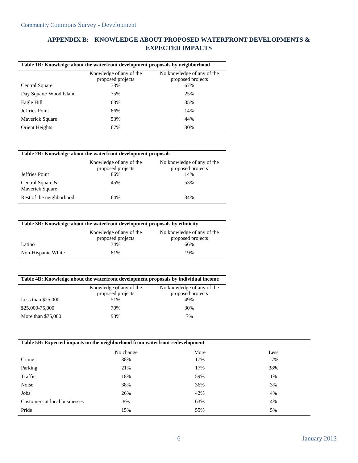# **APPENDIX B: KNOWLEDGE ABOUT PROPOSED WATERFRONT DEVELOPMENTS & EXPECTED IMPACTS**

| Table 1B: Knowledge about the waterfront development proposals by neighborhood |                                              |                                                 |  |  |
|--------------------------------------------------------------------------------|----------------------------------------------|-------------------------------------------------|--|--|
|                                                                                | Knowledge of any of the<br>proposed projects | No knowledge of any of the<br>proposed projects |  |  |
| Central Square                                                                 | 33%                                          | 67%                                             |  |  |
| Day Square/Wood Island                                                         | 75%                                          | 25%                                             |  |  |
| Eagle Hill                                                                     | 63%                                          | 35%                                             |  |  |
| <b>Jeffries Point</b>                                                          | 86%                                          | 14%                                             |  |  |
| Maverick Square                                                                | 53%                                          | 44%                                             |  |  |
| Orient Heights                                                                 | 67%                                          | 30%                                             |  |  |

| Table 2B: Knowledge about the waterfront development proposals |                                                     |                                                        |  |  |
|----------------------------------------------------------------|-----------------------------------------------------|--------------------------------------------------------|--|--|
| Jeffries Point                                                 | Knowledge of any of the<br>proposed projects<br>86% | No knowledge of any of the<br>proposed projects<br>14% |  |  |
| Central Square &<br>Maverick Square                            | 45%                                                 | 53%                                                    |  |  |
| Rest of the neighborhood                                       | 64%                                                 | 34%                                                    |  |  |

|  |  | Table 3B: Knowledge about the waterfront development proposals by ethnicity |  |
|--|--|-----------------------------------------------------------------------------|--|
|  |  |                                                                             |  |

|                    | Knowledge of any of the<br>proposed projects | No knowledge of any of the<br>proposed projects |
|--------------------|----------------------------------------------|-------------------------------------------------|
| Latino             | 34%                                          | 66%                                             |
| Non-Hispanic White | 81%                                          | 19%                                             |

| Table 4B: Knowledge about the waterfront development proposals by individual income |                                              |                                                 |  |  |
|-------------------------------------------------------------------------------------|----------------------------------------------|-------------------------------------------------|--|--|
|                                                                                     | Knowledge of any of the<br>proposed projects | No knowledge of any of the<br>proposed projects |  |  |
| Less than $$25,000$                                                                 | 51%                                          | 49%                                             |  |  |
| \$25,000-75,000                                                                     | 70%                                          | 30%                                             |  |  |
| More than \$75,000                                                                  | 93%                                          | 7%                                              |  |  |

## **Table 5B: Expected impacts on the neighborhood from waterfront redevelopment**

|                               | No change | More | Less |
|-------------------------------|-----------|------|------|
| Crime                         | 38%       | 17%  | 17%  |
| Parking                       | 21%       | 17%  | 38%  |
| Traffic                       | 18%       | 59%  | 1%   |
| Noise                         | 38%       | 36%  | 3%   |
| Jobs                          | 26%       | 42%  | 4%   |
| Customers at local businesses | 8%        | 63%  | 4%   |
| Pride                         | 15%       | 55%  | 5%   |